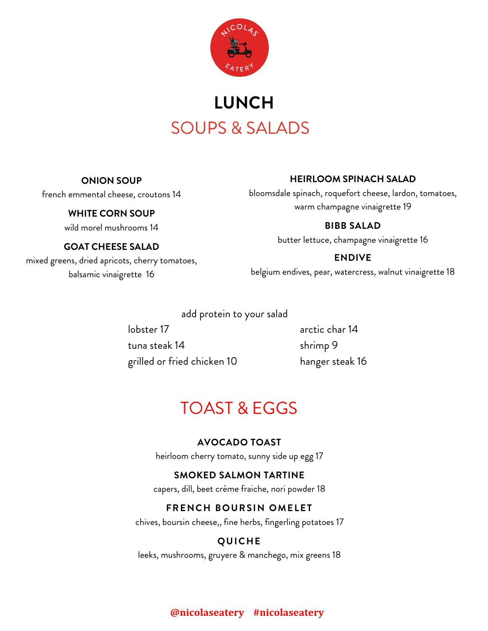

# SOUPS & SALADS **LUNCH**

#### **ONION SOUP**

## french emmental cheese, croutons 14

## **WHITE CORN SOUP**

wild morel mushrooms 14

## **GOAT CHEESE SALAD**

mixed greens, dried apricots, cherry tomatoes, balsamic vinaigrette 16

## **HEIRLOOM SPINACH SALAD**

bloomsdale spinach, roquefort cheese, lardon, tomatoes, warm champagne vinaigrette 19

## **BIBB SALAD**

butter lettuce, champagne vinaigrette 16

## **ENDIVE**

belgium endives, pear, watercress, walnut vinaigrette 18

add protein to your salad

lobster 17 arctic char 14 tuna steak 14 shrimp 9 grilled or fried chicken 10 hanger steak 16

## TOAST & EGGS

## **AVOCADO TOAST**

heirloom cherry tomato, sunny side up egg 17

## **SMOKED SALMON TARTINE**

capers, dill, beet crème fraiche, nori powder 18

## **FRENCH BOURSIN OMELET**

chives, boursin cheese,, fine herbs, fingerling potatoes 17

## **QUICHE**

leeks, mushrooms, gruyere & manchego, mix greens 18

## **@nicolaseatery #nicolaseatery**